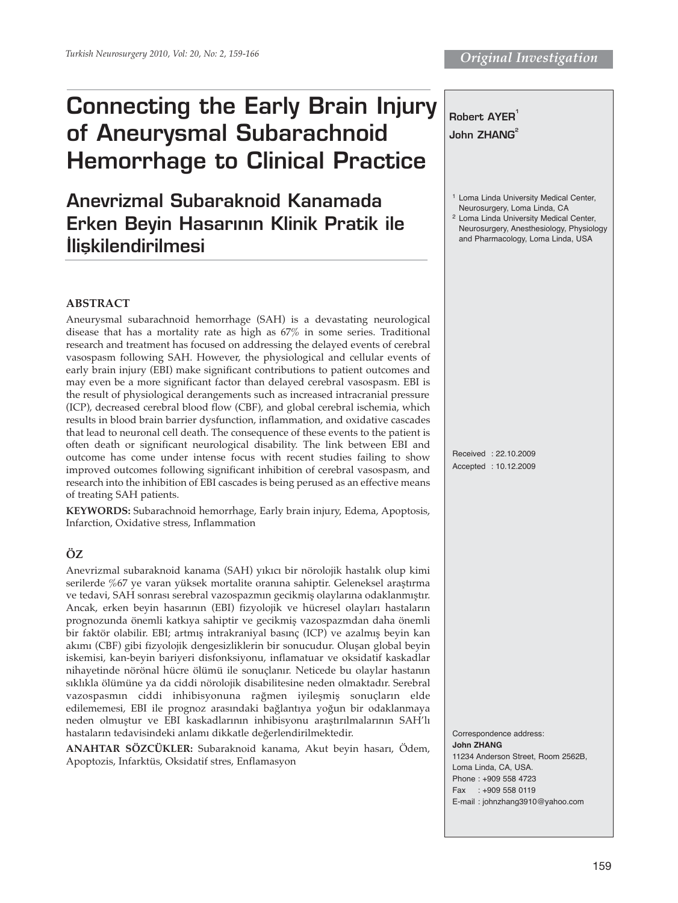# **Connecting the Early Brain Injury of Aneurysmal Subarachnoid Hemorrhage to Clinical Practice**

**Anevrizmal Subaraknoid Kanamada Erken Beyin Hasarının Klinik Pratik ile ‹liflkilendirilmesi** 

## **ABSTRACT**

Aneurysmal subarachnoid hemorrhage (SAH) is a devastating neurological disease that has a mortality rate as high as 67% in some series. Traditional research and treatment has focused on addressing the delayed events of cerebral vasospasm following SAH. However, the physiological and cellular events of early brain injury (EBI) make significant contributions to patient outcomes and may even be a more significant factor than delayed cerebral vasospasm. EBI is the result of physiological derangements such as increased intracranial pressure (ICP), decreased cerebral blood flow (CBF), and global cerebral ischemia, which results in blood brain barrier dysfunction, inflammation, and oxidative cascades that lead to neuronal cell death. The consequence of these events to the patient is often death or significant neurological disability. The link between EBI and outcome has come under intense focus with recent studies failing to show improved outcomes following significant inhibition of cerebral vasospasm, and research into the inhibition of EBI cascades is being perused as an effective means of treating SAH patients.

**KEYWORDS:** Subarachnoid hemorrhage, Early brain injury, Edema, Apoptosis, Infarction, Oxidative stress, Inflammation

## **ÖZ**

Anevrizmal subaraknoid kanama (SAH) yıkıcı bir nörolojik hastalık olup kimi serilerde %67 ye varan yüksek mortalite oranına sahiptir. Geleneksel araştırma ve tedavi, SAH sonrası serebral vazospazmın gecikmiş olaylarına odaklanmıştır. Ancak, erken beyin hasarının (EBI) fizyolojik ve hücresel olayları hastaların prognozunda önemli katkıya sahiptir ve gecikmiş vazospazmdan daha önemli bir faktör olabilir. EBI; artmış intrakraniyal basınç (ICP) ve azalmış beyin kan akımı (CBF) gibi fizyolojik dengesizliklerin bir sonucudur. Oluşan global beyin iskemisi, kan-beyin bariyeri disfonksiyonu, inflamatuar ve oksidatif kaskadlar nihayetinde nörönal hücre ölümü ile sonuçlanır. Neticede bu olaylar hastanın sıklıkla ölümüne ya da ciddi nörolojik disabilitesine neden olmaktadır. Serebral vazospasmın ciddi inhibisyonuna rağmen iyileşmiş sonuçların elde edilememesi, EBI ile prognoz arasındaki bağlantıya yoğun bir odaklanmaya neden olmuştur ve EBI kaskadlarının inhibisyonu araştırılmalarının SAH'lı hastaların tedavisindeki anlamı dikkatle değerlendirilmektedir.

**ANAHTAR SÖZCÜKLER:** Subaraknoid kanama, Akut beyin hasarı, Ödem, Apoptozis, Infarktüs, Oksidatif stres, Enflamasyon

|                                                                                                                                                                                              | Robert AYER <sup>1</sup><br>John ZHANG <sup>2</sup>                                                                                                                                                                       |
|----------------------------------------------------------------------------------------------------------------------------------------------------------------------------------------------|---------------------------------------------------------------------------------------------------------------------------------------------------------------------------------------------------------------------------|
|                                                                                                                                                                                              | <sup>1</sup> Loma Linda University Medical Center,<br>Neurosurgery, Loma Linda, CA<br><sup>2</sup> Loma Linda University Medical Center,<br>Neurosurgery, Anesthesiology, Physiology<br>and Pharmacology, Loma Linda, USA |
| l<br>l<br>l<br>f<br>l<br>5<br>$\ddot{\phantom{0}}$<br>l<br>5<br>5<br>l<br>$\overline{r}$<br>l<br>5<br>ľ<br>i<br>ì<br>$\ddot{\phantom{0}}$<br>l<br>i<br>l<br>l<br>ŗ<br>ì<br>l<br>$\mathbf{r}$ | Received: 22.10.2009<br>Accepted: 10.12.2009                                                                                                                                                                              |
| ì<br>l<br>ľ                                                                                                                                                                                  | Correspondence address:<br><b>John ZHANG</b><br>11234 Anderson Street, Room 2562B,<br>Loma Linda, CA, USA.                                                                                                                |

Phone : +909 558 4723 Fax : +909 558 0119

E-mail : johnzhang3910@yahoo.com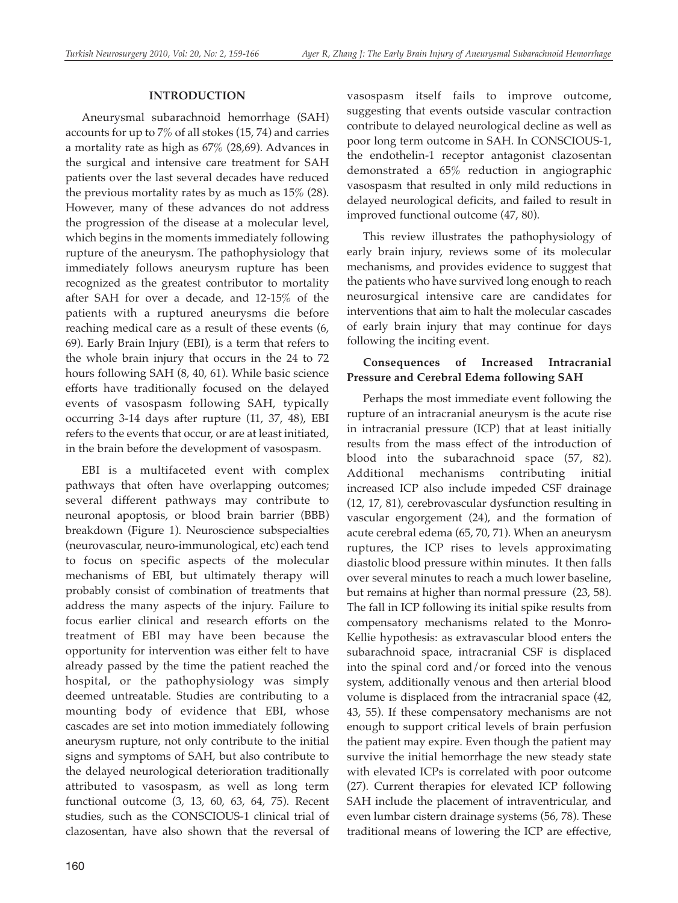#### **INTRODUCTION**

Aneurysmal subarachnoid hemorrhage (SAH) accounts for up to 7% of all stokes (15, 74) and carries a mortality rate as high as 67% (28,69). Advances in the surgical and intensive care treatment for SAH patients over the last several decades have reduced the previous mortality rates by as much as 15% (28). However, many of these advances do not address the progression of the disease at a molecular level, which begins in the moments immediately following rupture of the aneurysm. The pathophysiology that immediately follows aneurysm rupture has been recognized as the greatest contributor to mortality after SAH for over a decade, and 12-15% of the patients with a ruptured aneurysms die before reaching medical care as a result of these events (6, 69). Early Brain Injury (EBI), is a term that refers to the whole brain injury that occurs in the 24 to 72 hours following SAH (8, 40, 61). While basic science efforts have traditionally focused on the delayed events of vasospasm following SAH, typically occurring 3-14 days after rupture (11, 37, 48), EBI refers to the events that occur, or are at least initiated, in the brain before the development of vasospasm.

EBI is a multifaceted event with complex pathways that often have overlapping outcomes; several different pathways may contribute to neuronal apoptosis, or blood brain barrier (BBB) breakdown (Figure 1). Neuroscience subspecialties (neurovascular, neuro-immunological, etc) each tend to focus on specific aspects of the molecular mechanisms of EBI, but ultimately therapy will probably consist of combination of treatments that address the many aspects of the injury. Failure to focus earlier clinical and research efforts on the treatment of EBI may have been because the opportunity for intervention was either felt to have already passed by the time the patient reached the hospital, or the pathophysiology was simply deemed untreatable. Studies are contributing to a mounting body of evidence that EBI, whose cascades are set into motion immediately following aneurysm rupture, not only contribute to the initial signs and symptoms of SAH, but also contribute to the delayed neurological deterioration traditionally attributed to vasospasm, as well as long term functional outcome (3, 13, 60, 63, 64, 75). Recent studies, such as the CONSCIOUS-1 clinical trial of clazosentan, have also shown that the reversal of

vasospasm itself fails to improve outcome, suggesting that events outside vascular contraction contribute to delayed neurological decline as well as poor long term outcome in SAH. In CONSCIOUS-1, the endothelin-1 receptor antagonist clazosentan demonstrated a 65% reduction in angiographic vasospasm that resulted in only mild reductions in delayed neurological deficits, and failed to result in improved functional outcome (47, 80).

This review illustrates the pathophysiology of early brain injury, reviews some of its molecular mechanisms, and provides evidence to suggest that the patients who have survived long enough to reach neurosurgical intensive care are candidates for interventions that aim to halt the molecular cascades of early brain injury that may continue for days following the inciting event.

## **Consequences of Increased Intracranial Pressure and Cerebral Edema following SAH**

Perhaps the most immediate event following the rupture of an intracranial aneurysm is the acute rise in intracranial pressure (ICP) that at least initially results from the mass effect of the introduction of blood into the subarachnoid space (57, 82). Additional mechanisms contributing initial increased ICP also include impeded CSF drainage (12, 17, 81), cerebrovascular dysfunction resulting in vascular engorgement (24), and the formation of acute cerebral edema (65, 70, 71). When an aneurysm ruptures, the ICP rises to levels approximating diastolic blood pressure within minutes. It then falls over several minutes to reach a much lower baseline, but remains at higher than normal pressure (23, 58). The fall in ICP following its initial spike results from compensatory mechanisms related to the Monro-Kellie hypothesis: as extravascular blood enters the subarachnoid space, intracranial CSF is displaced into the spinal cord and/or forced into the venous system, additionally venous and then arterial blood volume is displaced from the intracranial space (42, 43, 55). If these compensatory mechanisms are not enough to support critical levels of brain perfusion the patient may expire. Even though the patient may survive the initial hemorrhage the new steady state with elevated ICPs is correlated with poor outcome (27). Current therapies for elevated ICP following SAH include the placement of intraventricular, and even lumbar cistern drainage systems (56, 78). These traditional means of lowering the ICP are effective,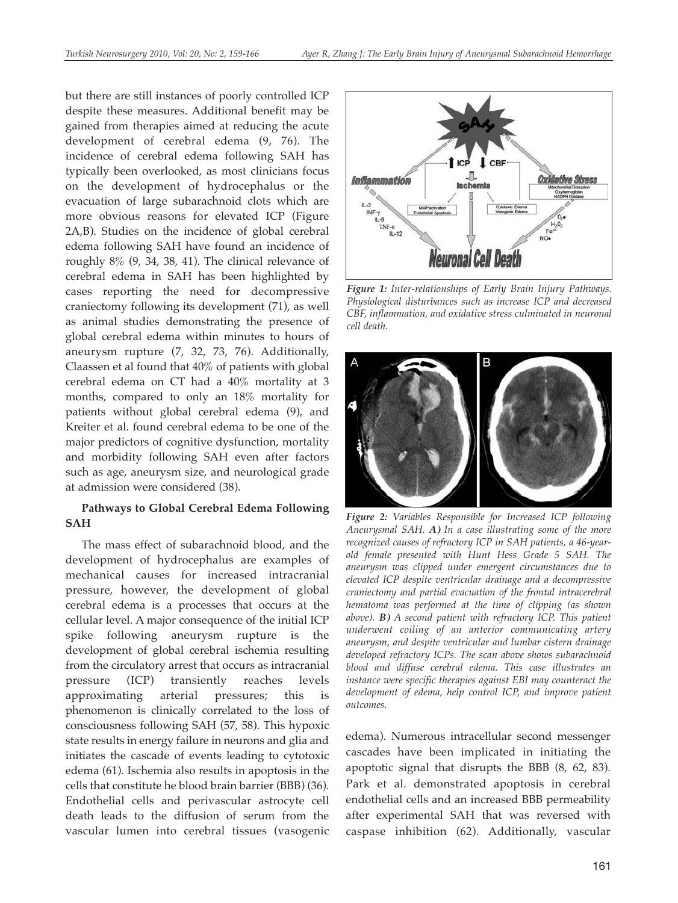but there are still instances of poorly controlled ICP despite these measures. Additional benefit may be gained from therapies aimed at reducing the acute development of cerebral edema (9, 76). The incidence of cerebral edema following SAH has typically been overlooked, as most clinicians focus on the development of hydrocephalus or the evacuation of large subarachnoid clots which are more obvious reasons for elevated ICP (Figure 2A,B). Studies on the incidence of global cerebral edema following SAH have found an incidence of roughly 8% (9, 34, 38, 41). The clinical relevance of cerebral edema in SAH has been highlighted by cases reporting the need for decompressive craniectomy following its development (71), as well as animal studies demonstrating the presence of global cerebral edema within minutes to hours of aneurysm rupture (7, 32, 73, 76). Additionally, Claassen et al found that 40% of patients with global cerebral edema on CT had a 40% mortality at 3 months, compared to only an 18% mortality for patients without global cerebral edema (9), and Kreiter et al. found cerebral edema to be one of the major predictors of cognitive dysfunction, mortality and morbidity following SAH even after factors such as age, aneurysm size, and neurological grade at admission were considered (38).

### **Pathways to Global Cerebral Edema Following SAH**

The mass effect of subarachnoid blood, and the development of hydrocephalus are examples of mechanical causes for increased intracranial pressure, however, the development of global cerebral edema is a processes that occurs at the cellular level. A major consequence of the initial ICP spike following aneurysm rupture is the development of global cerebral ischemia resulting from the circulatory arrest that occurs as intracranial pressure (ICP) transiently reaches levels approximating arterial pressures; this is phenomenon is clinically correlated to the loss of consciousness following SAH (57, 58). This hypoxic state results in energy failure in neurons and glia and initiates the cascade of events leading to cytotoxic edema (61). Ischemia also results in apoptosis in the cells that constitute he blood brain barrier (BBB) (36). Endothelial cells and perivascular astrocyte cell death leads to the diffusion of serum from the vascular lumen into cerebral tissues (vasogenic



*Figure 1: Inter-relationships of Early Brain Injury Pathways. Physiological disturbances such as increase ICP and decreased CBF, inflammation, and oxidative stress culminated in neuronal cell death.*



*Figure 2: Variables Responsible for Increased ICP following Aneurysmal SAH. A) In a case illustrating some of the more recognized causes of refractory ICP in SAH patients, a 46-yearold female presented with Hunt Hess Grade 5 SAH. The aneurysm was clipped under emergent circumstances due to elevated ICP despite ventricular drainage and a decompressive craniectomy and partial evacuation of the frontal intracerebral hematoma was performed at the time of clipping (as shown above). B) A second patient with refractory ICP. This patient underwent coiling of an anterior communicating artery aneurysm, and despite ventricular and lumbar cistern drainage developed refractory ICPs. The scan above shows subarachnoid blood and diffuse cerebral edema. This case illustrates an instance were specific therapies against EBI may counteract the development of edema, help control ICP, and improve patient outcomes.*

edema). Numerous intracellular second messenger cascades have been implicated in initiating the apoptotic signal that disrupts the BBB (8, 62, 83). Park et al. demonstrated apoptosis in cerebral endothelial cells and an increased BBB permeability after experimental SAH that was reversed with caspase inhibition (62). Additionally, vascular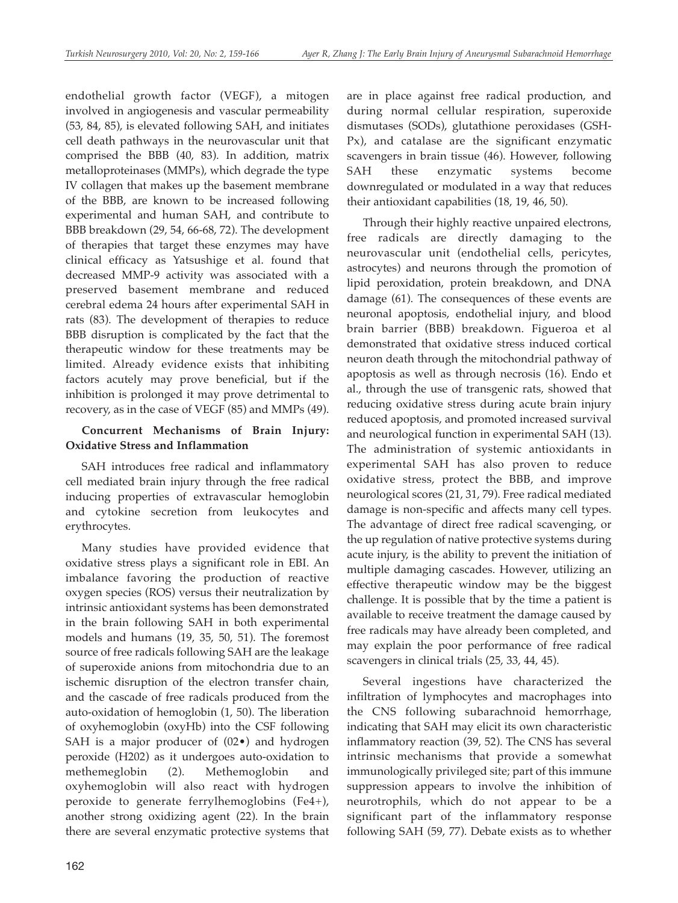endothelial growth factor (VEGF), a mitogen involved in angiogenesis and vascular permeability (53, 84, 85), is elevated following SAH, and initiates cell death pathways in the neurovascular unit that comprised the BBB (40, 83). In addition, matrix metalloproteinases (MMPs), which degrade the type IV collagen that makes up the basement membrane of the BBB, are known to be increased following experimental and human SAH, and contribute to BBB breakdown (29, 54, 66-68, 72). The development of therapies that target these enzymes may have clinical efficacy as Yatsushige et al. found that decreased MMP-9 activity was associated with a preserved basement membrane and reduced cerebral edema 24 hours after experimental SAH in rats (83). The development of therapies to reduce BBB disruption is complicated by the fact that the therapeutic window for these treatments may be limited. Already evidence exists that inhibiting factors acutely may prove beneficial, but if the inhibition is prolonged it may prove detrimental to recovery, as in the case of VEGF (85) and MMPs (49).

## **Concurrent Mechanisms of Brain Injury: Oxidative Stress and Inflammation**

SAH introduces free radical and inflammatory cell mediated brain injury through the free radical inducing properties of extravascular hemoglobin and cytokine secretion from leukocytes and erythrocytes.

Many studies have provided evidence that oxidative stress plays a significant role in EBI. An imbalance favoring the production of reactive oxygen species (ROS) versus their neutralization by intrinsic antioxidant systems has been demonstrated in the brain following SAH in both experimental models and humans (19, 35, 50, 51). The foremost source of free radicals following SAH are the leakage of superoxide anions from mitochondria due to an ischemic disruption of the electron transfer chain, and the cascade of free radicals produced from the auto-oxidation of hemoglobin (1, 50). The liberation of oxyhemoglobin (oxyHb) into the CSF following SAH is a major producer of (02•) and hydrogen peroxide (H202) as it undergoes auto-oxidation to methemeglobin (2). Methemoglobin and oxyhemoglobin will also react with hydrogen peroxide to generate ferrylhemoglobins (Fe4+), another strong oxidizing agent (22). In the brain there are several enzymatic protective systems that

are in place against free radical production, and during normal cellular respiration, superoxide dismutases (SODs), glutathione peroxidases (GSH-Px), and catalase are the significant enzymatic scavengers in brain tissue (46). However, following SAH these enzymatic systems become downregulated or modulated in a way that reduces their antioxidant capabilities (18, 19, 46, 50).

Through their highly reactive unpaired electrons, free radicals are directly damaging to the neurovascular unit (endothelial cells, pericytes, astrocytes) and neurons through the promotion of lipid peroxidation, protein breakdown, and DNA damage (61). The consequences of these events are neuronal apoptosis, endothelial injury, and blood brain barrier (BBB) breakdown. Figueroa et al demonstrated that oxidative stress induced cortical neuron death through the mitochondrial pathway of apoptosis as well as through necrosis (16). Endo et al., through the use of transgenic rats, showed that reducing oxidative stress during acute brain injury reduced apoptosis, and promoted increased survival and neurological function in experimental SAH (13). The administration of systemic antioxidants in experimental SAH has also proven to reduce oxidative stress, protect the BBB, and improve neurological scores (21, 31, 79). Free radical mediated damage is non-specific and affects many cell types. The advantage of direct free radical scavenging, or the up regulation of native protective systems during acute injury, is the ability to prevent the initiation of multiple damaging cascades. However, utilizing an effective therapeutic window may be the biggest challenge. It is possible that by the time a patient is available to receive treatment the damage caused by free radicals may have already been completed, and may explain the poor performance of free radical scavengers in clinical trials (25, 33, 44, 45).

Several ingestions have characterized the infiltration of lymphocytes and macrophages into the CNS following subarachnoid hemorrhage, indicating that SAH may elicit its own characteristic inflammatory reaction (39, 52). The CNS has several intrinsic mechanisms that provide a somewhat immunologically privileged site; part of this immune suppression appears to involve the inhibition of neurotrophils, which do not appear to be a significant part of the inflammatory response following SAH (59, 77). Debate exists as to whether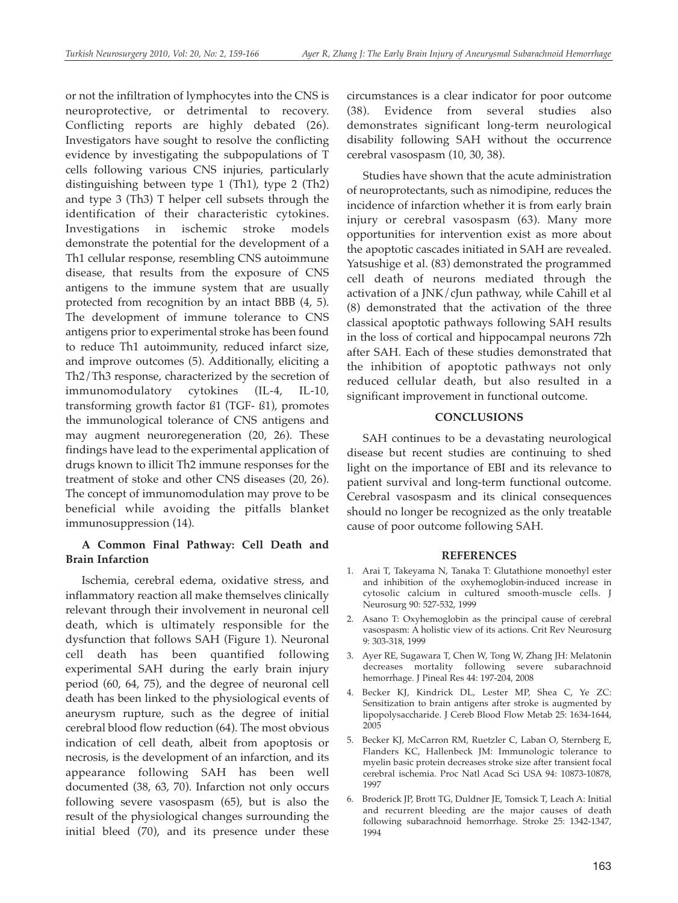or not the infiltration of lymphocytes into the CNS is neuroprotective, or detrimental to recovery. Conflicting reports are highly debated (26). Investigators have sought to resolve the conflicting evidence by investigating the subpopulations of T cells following various CNS injuries, particularly distinguishing between type 1 (Th1), type 2 (Th2) and type 3 (Th3) T helper cell subsets through the identification of their characteristic cytokines. Investigations in ischemic stroke models demonstrate the potential for the development of a Th1 cellular response, resembling CNS autoimmune disease, that results from the exposure of CNS antigens to the immune system that are usually protected from recognition by an intact BBB (4, 5). The development of immune tolerance to CNS antigens prior to experimental stroke has been found to reduce Th1 autoimmunity, reduced infarct size, and improve outcomes (5). Additionally, eliciting a Th2/Th3 response, characterized by the secretion of immunomodulatory cytokines (IL-4, IL-10, transforming growth factor ß1 (TGF- ß1), promotes the immunological tolerance of CNS antigens and may augment neuroregeneration (20, 26). These findings have lead to the experimental application of drugs known to illicit Th2 immune responses for the treatment of stoke and other CNS diseases (20, 26). The concept of immunomodulation may prove to be beneficial while avoiding the pitfalls blanket immunosuppression (14).

## **A Common Final Pathway: Cell Death and Brain Infarction**

Ischemia, cerebral edema, oxidative stress, and inflammatory reaction all make themselves clinically relevant through their involvement in neuronal cell death, which is ultimately responsible for the dysfunction that follows SAH (Figure 1). Neuronal cell death has been quantified following experimental SAH during the early brain injury period (60, 64, 75), and the degree of neuronal cell death has been linked to the physiological events of aneurysm rupture, such as the degree of initial cerebral blood flow reduction (64). The most obvious indication of cell death, albeit from apoptosis or necrosis, is the development of an infarction, and its appearance following SAH has been well documented (38, 63, 70). Infarction not only occurs following severe vasospasm (65), but is also the result of the physiological changes surrounding the initial bleed (70), and its presence under these

circumstances is a clear indicator for poor outcome (38). Evidence from several studies also demonstrates significant long-term neurological disability following SAH without the occurrence cerebral vasospasm (10, 30, 38).

Studies have shown that the acute administration of neuroprotectants, such as nimodipine, reduces the incidence of infarction whether it is from early brain injury or cerebral vasospasm (63). Many more opportunities for intervention exist as more about the apoptotic cascades initiated in SAH are revealed. Yatsushige et al. (83) demonstrated the programmed cell death of neurons mediated through the activation of a JNK/cJun pathway, while Cahill et al (8) demonstrated that the activation of the three classical apoptotic pathways following SAH results in the loss of cortical and hippocampal neurons 72h after SAH. Each of these studies demonstrated that the inhibition of apoptotic pathways not only reduced cellular death, but also resulted in a significant improvement in functional outcome.

### **CONCLUSIONS**

SAH continues to be a devastating neurological disease but recent studies are continuing to shed light on the importance of EBI and its relevance to patient survival and long-term functional outcome. Cerebral vasospasm and its clinical consequences should no longer be recognized as the only treatable cause of poor outcome following SAH.

### **REFERENCES**

- 1. Arai T, Takeyama N, Tanaka T: Glutathione monoethyl ester and inhibition of the oxyhemoglobin-induced increase in cytosolic calcium in cultured smooth-muscle cells. J Neurosurg 90: 527-532, 1999
- 2. Asano T: Oxyhemoglobin as the principal cause of cerebral vasospasm: A holistic view of its actions. Crit Rev Neurosurg 9: 303-318, 1999
- 3. Ayer RE, Sugawara T, Chen W, Tong W, Zhang JH: Melatonin decreases mortality following severe subarachnoid hemorrhage. J Pineal Res 44: 197-204, 2008
- 4. Becker KJ, Kindrick DL, Lester MP, Shea C, Ye ZC: Sensitization to brain antigens after stroke is augmented by lipopolysaccharide. J Cereb Blood Flow Metab 25: 1634-1644, 2005
- 5. Becker KJ, McCarron RM, Ruetzler C, Laban O, Sternberg E, Flanders KC, Hallenbeck JM: Immunologic tolerance to myelin basic protein decreases stroke size after transient focal cerebral ischemia. Proc Natl Acad Sci USA 94: 10873-10878, 1997
- 6. Broderick JP, Brott TG, Duldner JE, Tomsick T, Leach A: Initial and recurrent bleeding are the major causes of death following subarachnoid hemorrhage. Stroke 25: 1342-1347, 1994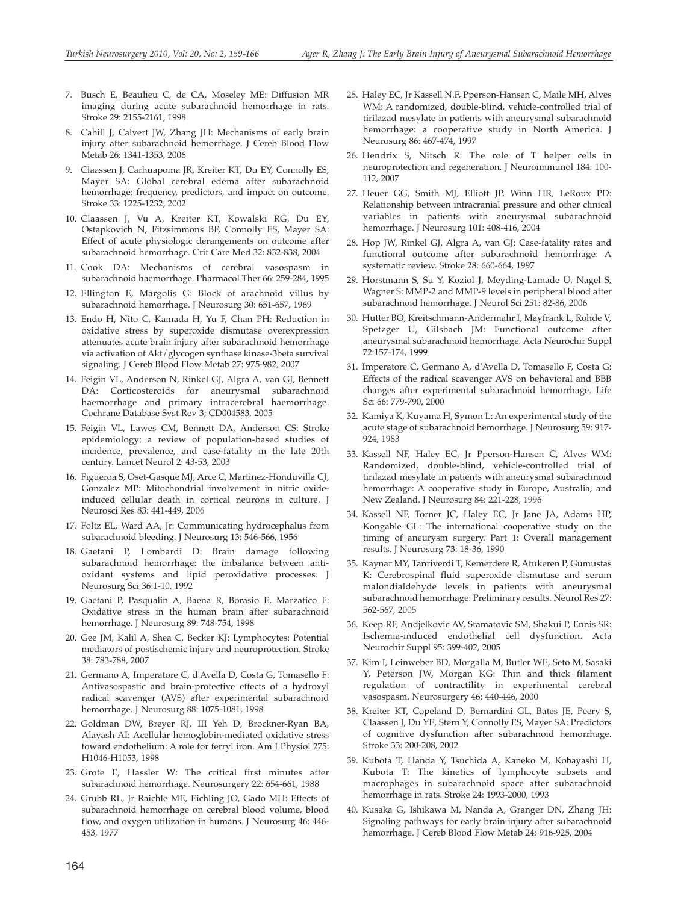- 7. Busch E, Beaulieu C, de CA, Moseley ME: Diffusion MR imaging during acute subarachnoid hemorrhage in rats. Stroke 29: 2155-2161, 1998
- 8. Cahill J, Calvert JW, Zhang JH: Mechanisms of early brain injury after subarachnoid hemorrhage. J Cereb Blood Flow Metab 26: 1341-1353, 2006
- 9. Claassen J, Carhuapoma JR, Kreiter KT, Du EY, Connolly ES, Mayer SA: Global cerebral edema after subarachnoid hemorrhage: frequency, predictors, and impact on outcome. Stroke 33: 1225-1232, 2002
- 10. Claassen J, Vu A, Kreiter KT, Kowalski RG, Du EY, Ostapkovich N, Fitzsimmons BF, Connolly ES, Mayer SA: Effect of acute physiologic derangements on outcome after subarachnoid hemorrhage. Crit Care Med 32: 832-838, 2004
- 11. Cook DA: Mechanisms of cerebral vasospasm in subarachnoid haemorrhage. Pharmacol Ther 66: 259-284, 1995
- 12. Ellington E, Margolis G: Block of arachnoid villus by subarachnoid hemorrhage. J Neurosurg 30: 651-657, 1969
- 13. Endo H, Nito C, Kamada H, Yu F, Chan PH: Reduction in oxidative stress by superoxide dismutase overexpression attenuates acute brain injury after subarachnoid hemorrhage via activation of Akt/glycogen synthase kinase-3beta survival signaling. J Cereb Blood Flow Metab 27: 975-982, 2007
- 14. Feigin VL, Anderson N, Rinkel GJ, Algra A, van GJ, Bennett DA: Corticosteroids for aneurysmal subarachnoid haemorrhage and primary intracerebral haemorrhage. Cochrane Database Syst Rev 3; CD004583, 2005
- 15. Feigin VL, Lawes CM, Bennett DA, Anderson CS: Stroke epidemiology: a review of population-based studies of incidence, prevalence, and case-fatality in the late 20th century. Lancet Neurol 2: 43-53, 2003
- 16. Figueroa S, Oset-Gasque MJ, Arce C, Martinez-Honduvilla CJ, Gonzalez MP: Mitochondrial involvement in nitric oxideinduced cellular death in cortical neurons in culture. J Neurosci Res 83: 441-449, 2006
- 17. Foltz EL, Ward AA, Jr: Communicating hydrocephalus from subarachnoid bleeding. J Neurosurg 13: 546-566, 1956
- 18. Gaetani P, Lombardi D: Brain damage following subarachnoid hemorrhage: the imbalance between antioxidant systems and lipid peroxidative processes. J Neurosurg Sci 36:1-10, 1992
- 19. Gaetani P, Pasqualin A, Baena R, Borasio E, Marzatico F: Oxidative stress in the human brain after subarachnoid hemorrhage. J Neurosurg 89: 748-754, 1998
- 20. Gee JM, Kalil A, Shea C, Becker KJ: Lymphocytes: Potential mediators of postischemic injury and neuroprotection. Stroke 38: 783-788, 2007
- 21. Germano A, Imperatore C, d'Avella D, Costa G, Tomasello F: Antivasospastic and brain-protective effects of a hydroxyl radical scavenger (AVS) after experimental subarachnoid hemorrhage. J Neurosurg 88: 1075-1081, 1998
- 22. Goldman DW, Breyer RJ, III Yeh D, Brockner-Ryan BA, Alayash AI: Acellular hemoglobin-mediated oxidative stress toward endothelium: A role for ferryl iron. Am J Physiol 275: H1046-H1053, 1998
- 23. Grote E, Hassler W: The critical first minutes after subarachnoid hemorrhage. Neurosurgery 22: 654-661, 1988
- 24. Grubb RL, Jr Raichle ME, Eichling JO, Gado MH: Effects of subarachnoid hemorrhage on cerebral blood volume, blood flow, and oxygen utilization in humans. J Neurosurg 46: 446- 453, 1977
- 25. Haley EC, Jr Kassell N.F, Pperson-Hansen C, Maile MH, Alves WM: A randomized, double-blind, vehicle-controlled trial of tirilazad mesylate in patients with aneurysmal subarachnoid hemorrhage: a cooperative study in North America. J Neurosurg 86: 467-474, 1997
- 26. Hendrix S, Nitsch R: The role of T helper cells in neuroprotection and regeneration. J Neuroimmunol 184: 100- 112, 2007
- 27. Heuer GG, Smith MJ, Elliott JP, Winn HR, LeRoux PD: Relationship between intracranial pressure and other clinical variables in patients with aneurysmal subarachnoid hemorrhage. J Neurosurg 101: 408-416, 2004
- 28. Hop JW, Rinkel GJ, Algra A, van GJ: Case-fatality rates and functional outcome after subarachnoid hemorrhage: A systematic review. Stroke 28: 660-664, 1997
- 29. Horstmann S, Su Y, Koziol J, Meyding-Lamade U, Nagel S, Wagner S: MMP-2 and MMP-9 levels in peripheral blood after subarachnoid hemorrhage. J Neurol Sci 251: 82-86, 2006
- 30. Hutter BO, Kreitschmann-Andermahr I, Mayfrank L, Rohde V, Spetzger U, Gilsbach JM: Functional outcome after aneurysmal subarachnoid hemorrhage. Acta Neurochir Suppl 72:157-174, 1999
- 31. Imperatore C, Germano A, d'Avella D, Tomasello F, Costa G: Effects of the radical scavenger AVS on behavioral and BBB changes after experimental subarachnoid hemorrhage. Life Sci 66: 779-790, 2000
- 32. Kamiya K, Kuyama H, Symon L: An experimental study of the acute stage of subarachnoid hemorrhage. J Neurosurg 59: 917- 924, 1983
- 33. Kassell NF, Haley EC, Jr Pperson-Hansen C, Alves WM: Randomized, double-blind, vehicle-controlled trial of tirilazad mesylate in patients with aneurysmal subarachnoid hemorrhage: A cooperative study in Europe, Australia, and New Zealand. J Neurosurg 84: 221-228, 1996
- 34. Kassell NF, Torner JC, Haley EC, Jr Jane JA, Adams HP, Kongable GL: The international cooperative study on the timing of aneurysm surgery. Part 1: Overall management results. J Neurosurg 73: 18-36, 1990
- 35. Kaynar MY, Tanriverdi T, Kemerdere R, Atukeren P, Gumustas K: Cerebrospinal fluid superoxide dismutase and serum malondialdehyde levels in patients with aneurysmal subarachnoid hemorrhage: Preliminary results. Neurol Res 27: 562-567, 2005
- 36. Keep RF, Andjelkovic AV, Stamatovic SM, Shakui P, Ennis SR: Ischemia-induced endothelial cell dysfunction. Acta Neurochir Suppl 95: 399-402, 2005
- 37. Kim I, Leinweber BD, Morgalla M, Butler WE, Seto M, Sasaki Y, Peterson JW, Morgan KG: Thin and thick filament regulation of contractility in experimental cerebral vasospasm. Neurosurgery 46: 440-446, 2000
- 38. Kreiter KT, Copeland D, Bernardini GL, Bates JE, Peery S, Claassen J, Du YE, Stern Y, Connolly ES, Mayer SA: Predictors of cognitive dysfunction after subarachnoid hemorrhage. Stroke 33: 200-208, 2002
- 39. Kubota T, Handa Y, Tsuchida A, Kaneko M, Kobayashi H, Kubota T: The kinetics of lymphocyte subsets and macrophages in subarachnoid space after subarachnoid hemorrhage in rats. Stroke 24: 1993-2000, 1993
- 40. Kusaka G, Ishikawa M, Nanda A, Granger DN, Zhang JH: Signaling pathways for early brain injury after subarachnoid hemorrhage. J Cereb Blood Flow Metab 24: 916-925, 2004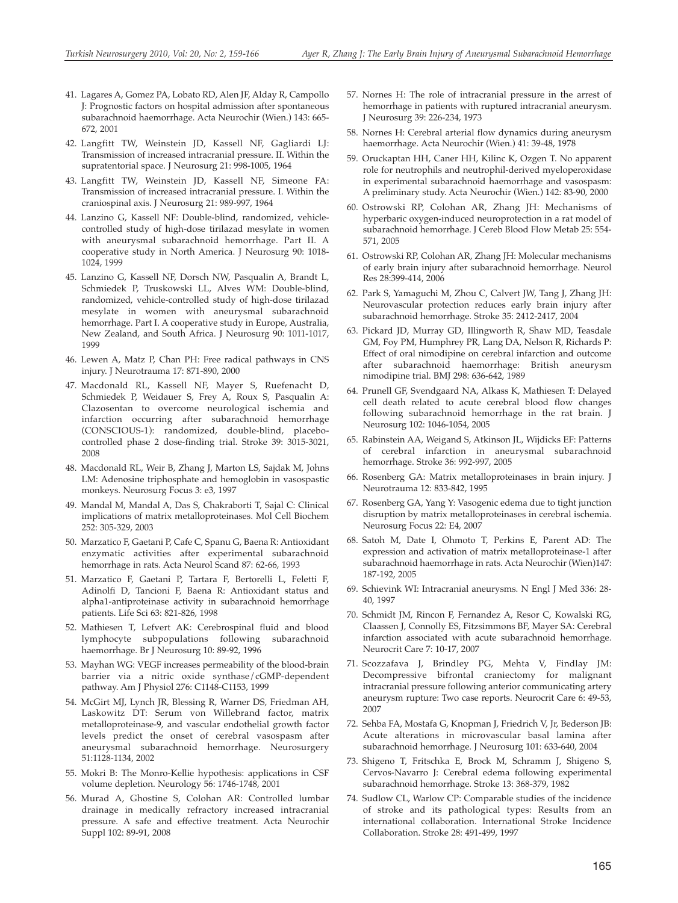- 41. Lagares A, Gomez PA, Lobato RD, Alen JF, Alday R, Campollo J: Prognostic factors on hospital admission after spontaneous subarachnoid haemorrhage. Acta Neurochir (Wien.) 143: 665- 672, 2001
- 42. Langfitt TW, Weinstein JD, Kassell NF, Gagliardi LJ: Transmission of increased intracranial pressure. II. Within the supratentorial space. J Neurosurg 21: 998-1005, 1964
- 43. Langfitt TW, Weinstein JD, Kassell NF, Simeone FA: Transmission of increased intracranial pressure. I. Within the craniospinal axis. J Neurosurg 21: 989-997, 1964
- 44. Lanzino G, Kassell NF: Double-blind, randomized, vehiclecontrolled study of high-dose tirilazad mesylate in women with aneurysmal subarachnoid hemorrhage. Part II. A cooperative study in North America. J Neurosurg 90: 1018- 1024, 1999
- 45. Lanzino G, Kassell NF, Dorsch NW, Pasqualin A, Brandt L, Schmiedek P, Truskowski LL, Alves WM: Double-blind, randomized, vehicle-controlled study of high-dose tirilazad mesylate in women with aneurysmal subarachnoid hemorrhage. Part I. A cooperative study in Europe, Australia, New Zealand, and South Africa. J Neurosurg 90: 1011-1017, 1999
- 46. Lewen A, Matz P, Chan PH: Free radical pathways in CNS injury. J Neurotrauma 17: 871-890, 2000
- 47. Macdonald RL, Kassell NF, Mayer S, Ruefenacht D, Schmiedek P, Weidauer S, Frey A, Roux S, Pasqualin A: Clazosentan to overcome neurological ischemia and infarction occurring after subarachnoid hemorrhage (CONSCIOUS-1): randomized, double-blind, placebocontrolled phase 2 dose-finding trial. Stroke 39: 3015-3021, 2008
- 48. Macdonald RL, Weir B, Zhang J, Marton LS, Sajdak M, Johns LM: Adenosine triphosphate and hemoglobin in vasospastic monkeys. Neurosurg Focus 3: e3, 1997
- 49. Mandal M, Mandal A, Das S, Chakraborti T, Sajal C: Clinical implications of matrix metalloproteinases. Mol Cell Biochem 252: 305-329, 2003
- 50. Marzatico F, Gaetani P, Cafe C, Spanu G, Baena R: Antioxidant enzymatic activities after experimental subarachnoid hemorrhage in rats. Acta Neurol Scand 87: 62-66, 1993
- 51. Marzatico F, Gaetani P, Tartara F, Bertorelli L, Feletti F, Adinolfi D, Tancioni F, Baena R: Antioxidant status and alpha1-antiproteinase activity in subarachnoid hemorrhage patients. Life Sci 63: 821-826, 1998
- 52. Mathiesen T, Lefvert AK: Cerebrospinal fluid and blood lymphocyte subpopulations following subarachnoid haemorrhage. Br J Neurosurg 10: 89-92, 1996
- 53. Mayhan WG: VEGF increases permeability of the blood-brain barrier via a nitric oxide synthase/cGMP-dependent pathway. Am J Physiol 276: C1148-C1153, 1999
- 54. McGirt MJ, Lynch JR, Blessing R, Warner DS, Friedman AH, Laskowitz DT: Serum von Willebrand factor, matrix metalloproteinase-9, and vascular endothelial growth factor levels predict the onset of cerebral vasospasm after aneurysmal subarachnoid hemorrhage. Neurosurgery 51:1128-1134, 2002
- 55. Mokri B: The Monro-Kellie hypothesis: applications in CSF volume depletion. Neurology 56: 1746-1748, 2001
- 56. Murad A, Ghostine S, Colohan AR: Controlled lumbar drainage in medically refractory increased intracranial pressure. A safe and effective treatment. Acta Neurochir Suppl 102: 89-91, 2008
- 57. Nornes H: The role of intracranial pressure in the arrest of hemorrhage in patients with ruptured intracranial aneurysm. J Neurosurg 39: 226-234, 1973
- 58. Nornes H: Cerebral arterial flow dynamics during aneurysm haemorrhage. Acta Neurochir (Wien.) 41: 39-48, 1978
- 59. Oruckaptan HH, Caner HH, Kilinc K, Ozgen T. No apparent role for neutrophils and neutrophil-derived myeloperoxidase in experimental subarachnoid haemorrhage and vasospasm: A preliminary study. Acta Neurochir (Wien.) 142: 83-90, 2000
- 60. Ostrowski RP, Colohan AR, Zhang JH: Mechanisms of hyperbaric oxygen-induced neuroprotection in a rat model of subarachnoid hemorrhage. J Cereb Blood Flow Metab 25: 554- 571, 2005
- 61. Ostrowski RP, Colohan AR, Zhang JH: Molecular mechanisms of early brain injury after subarachnoid hemorrhage. Neurol Res 28:399-414, 2006
- 62. Park S, Yamaguchi M, Zhou C, Calvert JW, Tang J, Zhang JH: Neurovascular protection reduces early brain injury after subarachnoid hemorrhage. Stroke 35: 2412-2417, 2004
- 63. Pickard JD, Murray GD, Illingworth R, Shaw MD, Teasdale GM, Foy PM, Humphrey PR, Lang DA, Nelson R, Richards P: Effect of oral nimodipine on cerebral infarction and outcome after subarachnoid haemorrhage: British aneurysm nimodipine trial. BMJ 298: 636-642, 1989
- 64. Prunell GF, Svendgaard NA, Alkass K, Mathiesen T: Delayed cell death related to acute cerebral blood flow changes following subarachnoid hemorrhage in the rat brain. J Neurosurg 102: 1046-1054, 2005
- 65. Rabinstein AA, Weigand S, Atkinson JL, Wijdicks EF: Patterns of cerebral infarction in aneurysmal subarachnoid hemorrhage. Stroke 36: 992-997, 2005
- 66. Rosenberg GA: Matrix metalloproteinases in brain injury. J Neurotrauma 12: 833-842, 1995
- 67. Rosenberg GA, Yang Y: Vasogenic edema due to tight junction disruption by matrix metalloproteinases in cerebral ischemia. Neurosurg Focus 22: E4, 2007
- 68. Satoh M, Date I, Ohmoto T, Perkins E, Parent AD: The expression and activation of matrix metalloproteinase-1 after subarachnoid haemorrhage in rats. Acta Neurochir (Wien)147: 187-192, 2005
- 69. Schievink WI: Intracranial aneurysms. N Engl J Med 336: 28- 40, 1997
- 70. Schmidt JM, Rincon F, Fernandez A, Resor C, Kowalski RG, Claassen J, Connolly ES, Fitzsimmons BF, Mayer SA: Cerebral infarction associated with acute subarachnoid hemorrhage. Neurocrit Care 7: 10-17, 2007
- 71. Scozzafava J, Brindley PG, Mehta V, Findlay JM: Decompressive bifrontal craniectomy for malignant intracranial pressure following anterior communicating artery aneurysm rupture: Two case reports. Neurocrit Care 6: 49-53, 2007
- 72. Sehba FA, Mostafa G, Knopman J, Friedrich V, Jr, Bederson JB: Acute alterations in microvascular basal lamina after subarachnoid hemorrhage. J Neurosurg 101: 633-640, 2004
- 73. Shigeno T, Fritschka E, Brock M, Schramm J, Shigeno S, Cervos-Navarro J: Cerebral edema following experimental subarachnoid hemorrhage. Stroke 13: 368-379, 1982
- 74. Sudlow CL, Warlow CP: Comparable studies of the incidence of stroke and its pathological types: Results from an international collaboration. International Stroke Incidence Collaboration. Stroke 28: 491-499, 1997